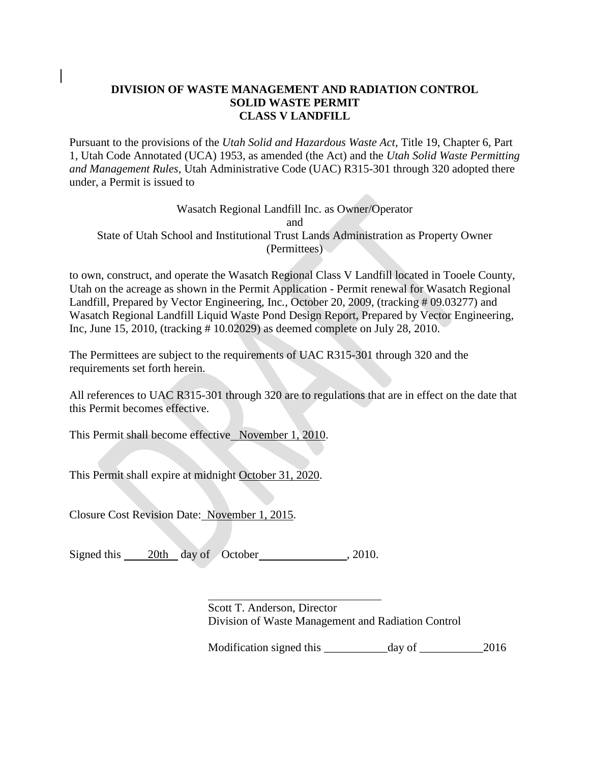### **DIVISION OF WASTE MANAGEMENT AND RADIATION CONTROL SOLID WASTE PERMIT CLASS V LANDFILL**

Pursuant to the provisions of the *Utah Solid and Hazardous Waste Act*, Title 19, Chapter 6, Part 1, Utah Code Annotated (UCA) 1953, as amended (the Act) and the *Utah Solid Waste Permitting and Management Rules*, Utah Administrative Code (UAC) R315-301 through 320 adopted there under, a Permit is issued to

#### Wasatch Regional Landfill Inc. as Owner/Operator and State of Utah School and Institutional Trust Lands Administration as Property Owner (Permittees)

to own, construct, and operate the Wasatch Regional Class V Landfill located in Tooele County, Utah on the acreage as shown in the Permit Application - Permit renewal for Wasatch Regional Landfill, Prepared by Vector Engineering, Inc*.,* October 20, 2009, (tracking # 09.03277) and Wasatch Regional Landfill Liquid Waste Pond Design Report, Prepared by Vector Engineering*,*  Inc, June 15*,* 2010, (tracking # 10.02029) as deemed complete on July 28, 2010.

The Permittees are subject to the requirements of UAC R315-301 through 320 and the requirements set forth herein.

All references to UAC R315-301 through 320 are to regulations that are in effect on the date that this Permit becomes effective.

This Permit shall become effective November 1, 2010.

This Permit shall expire at midnight October 31, 2020.

Closure Cost Revision Date: November 1, 2015.

Signed this 20th day of October , 2010.

 $\overline{a}$ 

Scott T. Anderson, Director Division of Waste Management and Radiation Control

Modification signed this day of 2016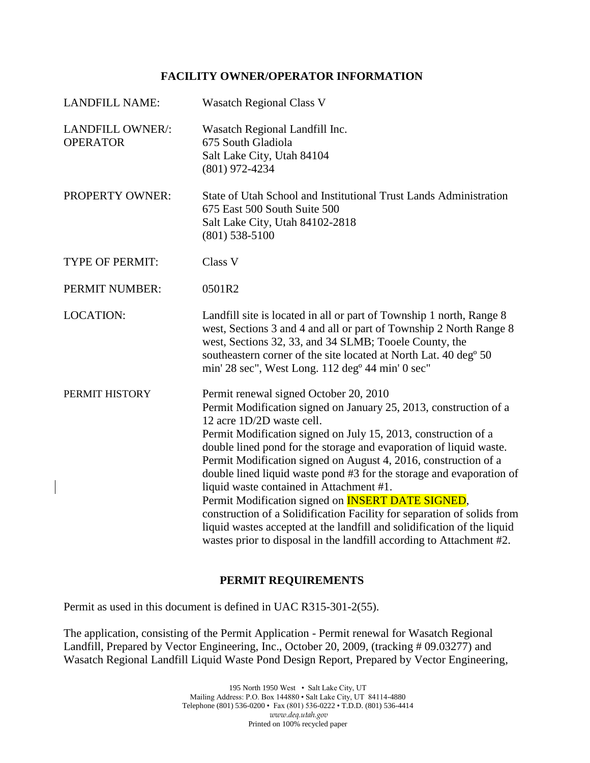#### **FACILITY OWNER/OPERATOR INFORMATION**

| <b>LANDFILL NAME:</b>               | <b>Wasatch Regional Class V</b>                                                                                                                                                                                                                                                                                                                                                                                                                                                                                                                                                                                                                                                                                                                                    |
|-------------------------------------|--------------------------------------------------------------------------------------------------------------------------------------------------------------------------------------------------------------------------------------------------------------------------------------------------------------------------------------------------------------------------------------------------------------------------------------------------------------------------------------------------------------------------------------------------------------------------------------------------------------------------------------------------------------------------------------------------------------------------------------------------------------------|
| LANDFILL OWNER/:<br><b>OPERATOR</b> | Wasatch Regional Landfill Inc.<br>675 South Gladiola<br>Salt Lake City, Utah 84104<br>$(801)$ 972-4234                                                                                                                                                                                                                                                                                                                                                                                                                                                                                                                                                                                                                                                             |
| <b>PROPERTY OWNER:</b>              | State of Utah School and Institutional Trust Lands Administration<br>675 East 500 South Suite 500<br>Salt Lake City, Utah 84102-2818<br>$(801)$ 538-5100                                                                                                                                                                                                                                                                                                                                                                                                                                                                                                                                                                                                           |
| <b>TYPE OF PERMIT:</b>              | Class V                                                                                                                                                                                                                                                                                                                                                                                                                                                                                                                                                                                                                                                                                                                                                            |
| PERMIT NUMBER:                      | 0501R2                                                                                                                                                                                                                                                                                                                                                                                                                                                                                                                                                                                                                                                                                                                                                             |
| <b>LOCATION:</b>                    | Landfill site is located in all or part of Township 1 north, Range 8<br>west, Sections 3 and 4 and all or part of Township 2 North Range 8<br>west, Sections 32, 33, and 34 SLMB; Tooele County, the<br>southeastern corner of the site located at North Lat. 40 deg <sup>o</sup> 50<br>min' 28 sec", West Long. 112 deg <sup>o</sup> 44 min' 0 sec"                                                                                                                                                                                                                                                                                                                                                                                                               |
| PERMIT HISTORY                      | Permit renewal signed October 20, 2010<br>Permit Modification signed on January 25, 2013, construction of a<br>12 acre 1D/2D waste cell.<br>Permit Modification signed on July 15, 2013, construction of a<br>double lined pond for the storage and evaporation of liquid waste.<br>Permit Modification signed on August 4, 2016, construction of a<br>double lined liquid waste pond #3 for the storage and evaporation of<br>liquid waste contained in Attachment #1.<br>Permit Modification signed on <b>INSERT DATE SIGNED</b> ,<br>construction of a Solidification Facility for separation of solids from<br>liquid wastes accepted at the landfill and solidification of the liquid<br>wastes prior to disposal in the landfill according to Attachment #2. |

# **PERMIT REQUIREMENTS**

Permit as used in this document is defined in UAC R315-301-2(55).

The application, consisting of the Permit Application *-* Permit renewal for Wasatch Regional Landfill, Prepared by Vector Engineering, Inc., October 20, 2009*,* (tracking # 09.03277) and Wasatch Regional Landfill Liquid Waste Pond Design Report, Prepared by Vector Engineering*,*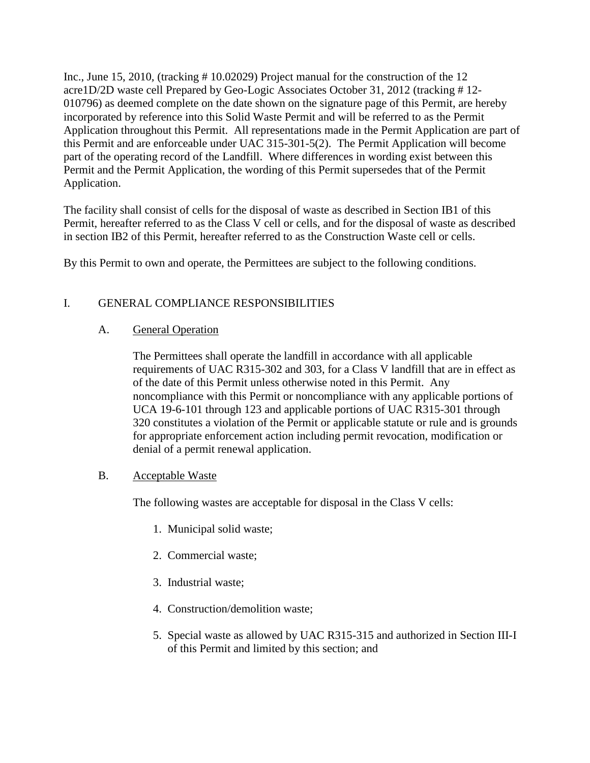Inc., June 15, 2010*,* (tracking # 10.02029) Project manual for the construction of the 12 acre1D/2D waste cell Prepared by Geo-Logic Associates October 31, 2012 (tracking # 12- 010796) as deemed complete on the date shown on the signature page of this Permit, are hereby incorporated by reference into this Solid Waste Permit and will be referred to as the Permit Application throughout this Permit. All representations made in the Permit Application are part of this Permit and are enforceable under UAC 315-301-5(2). The Permit Application will become part of the operating record of the Landfill. Where differences in wording exist between this Permit and the Permit Application, the wording of this Permit supersedes that of the Permit Application.

The facility shall consist of cells for the disposal of waste as described in Section IB1 of this Permit, hereafter referred to as the Class V cell or cells, and for the disposal of waste as described in section IB2 of this Permit, hereafter referred to as the Construction Waste cell or cells.

By this Permit to own and operate, the Permittees are subject to the following conditions.

# I. GENERAL COMPLIANCE RESPONSIBILITIES

#### A. General Operation

The Permittees shall operate the landfill in accordance with all applicable requirements of UAC R315-302 and 303, for a Class V landfill that are in effect as of the date of this Permit unless otherwise noted in this Permit. Any noncompliance with this Permit or noncompliance with any applicable portions of UCA 19-6-101 through 123 and applicable portions of UAC R315-301 through 320 constitutes a violation of the Permit or applicable statute or rule and is grounds for appropriate enforcement action including permit revocation, modification or denial of a permit renewal application.

# B. Acceptable Waste

The following wastes are acceptable for disposal in the Class V cells:

- 1. Municipal solid waste;
- 2. Commercial waste;
- 3. Industrial waste;
- 4. Construction/demolition waste;
- 5. Special waste as allowed by UAC R315-315 and authorized in Section III-I of this Permit and limited by this section; and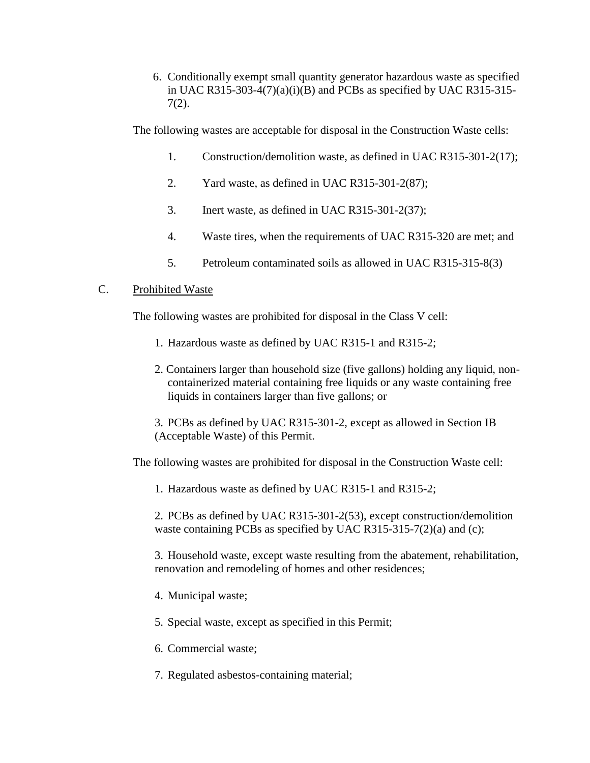6. Conditionally exempt small quantity generator hazardous waste as specified in UAC R315-303-4(7)(a)(i)(B) and PCBs as specified by UAC R315-315-7(2).

The following wastes are acceptable for disposal in the Construction Waste cells:

- 1. Construction/demolition waste, as defined in UAC R315-301-2(17);
- 2. Yard waste, as defined in UAC R315-301-2(87);
- 3. Inert waste, as defined in UAC R315-301-2(37);
- 4. Waste tires, when the requirements of UAC R315-320 are met; and
- 5. Petroleum contaminated soils as allowed in UAC R315-315-8(3)

#### C. Prohibited Waste

The following wastes are prohibited for disposal in the Class V cell:

- 1. Hazardous waste as defined by UAC R315-1 and R315-2;
- 2. Containers larger than household size (five gallons) holding any liquid, noncontainerized material containing free liquids or any waste containing free liquids in containers larger than five gallons; or
- 3. PCBs as defined by UAC R315-301-2, except as allowed in Section IB (Acceptable Waste) of this Permit.

The following wastes are prohibited for disposal in the Construction Waste cell:

1. Hazardous waste as defined by UAC R315-1 and R315-2;

2. PCBs as defined by UAC R315-301-2(53), except construction/demolition waste containing PCBs as specified by UAC R315-315-7(2)(a) and (c);

3. Household waste, except waste resulting from the abatement, rehabilitation, renovation and remodeling of homes and other residences;

- 4. Municipal waste;
- 5. Special waste, except as specified in this Permit;
- 6. Commercial waste;
- 7. Regulated asbestos-containing material;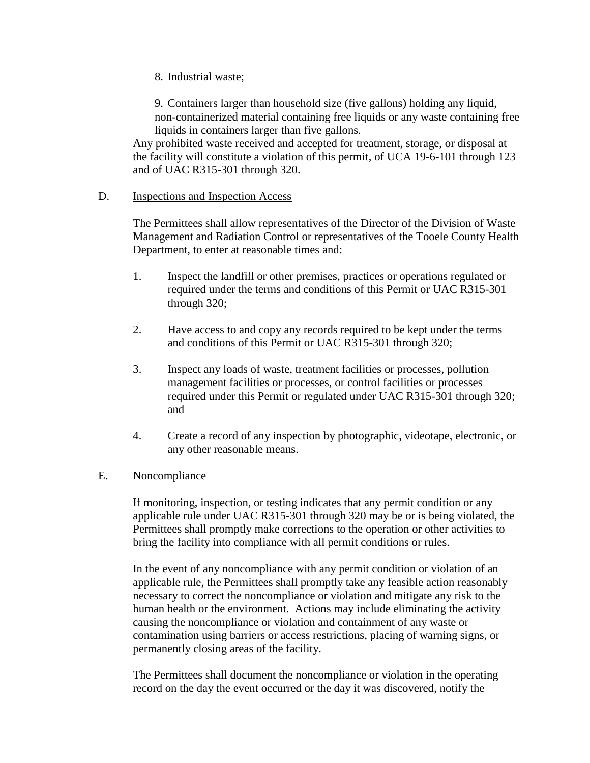8. Industrial waste;

9. Containers larger than household size (five gallons) holding any liquid, non-containerized material containing free liquids or any waste containing free liquids in containers larger than five gallons.

Any prohibited waste received and accepted for treatment, storage, or disposal at the facility will constitute a violation of this permit, of UCA 19-6-101 through 123 and of UAC R315-301 through 320.

#### D. Inspections and Inspection Access

The Permittees shall allow representatives of the Director of the Division of Waste Management and Radiation Control or representatives of the Tooele County Health Department, to enter at reasonable times and:

- 1. Inspect the landfill or other premises, practices or operations regulated or required under the terms and conditions of this Permit or UAC R315-301 through 320;
- 2. Have access to and copy any records required to be kept under the terms and conditions of this Permit or UAC R315-301 through 320;
- 3. Inspect any loads of waste, treatment facilities or processes, pollution management facilities or processes, or control facilities or processes required under this Permit or regulated under UAC R315-301 through 320; and
- 4. Create a record of any inspection by photographic, videotape, electronic, or any other reasonable means.

#### E. Noncompliance

If monitoring, inspection, or testing indicates that any permit condition or any applicable rule under UAC R315-301 through 320 may be or is being violated, the Permittees shall promptly make corrections to the operation or other activities to bring the facility into compliance with all permit conditions or rules.

In the event of any noncompliance with any permit condition or violation of an applicable rule, the Permittees shall promptly take any feasible action reasonably necessary to correct the noncompliance or violation and mitigate any risk to the human health or the environment. Actions may include eliminating the activity causing the noncompliance or violation and containment of any waste or contamination using barriers or access restrictions, placing of warning signs, or permanently closing areas of the facility.

The Permittees shall document the noncompliance or violation in the operating record on the day the event occurred or the day it was discovered, notify the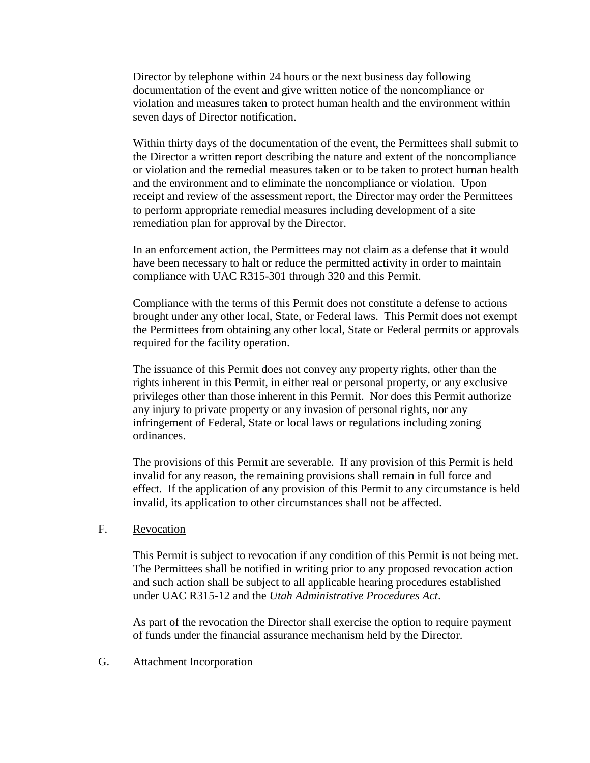Director by telephone within 24 hours or the next business day following documentation of the event and give written notice of the noncompliance or violation and measures taken to protect human health and the environment within seven days of Director notification.

Within thirty days of the documentation of the event, the Permittees shall submit to the Director a written report describing the nature and extent of the noncompliance or violation and the remedial measures taken or to be taken to protect human health and the environment and to eliminate the noncompliance or violation. Upon receipt and review of the assessment report, the Director may order the Permittees to perform appropriate remedial measures including development of a site remediation plan for approval by the Director.

In an enforcement action, the Permittees may not claim as a defense that it would have been necessary to halt or reduce the permitted activity in order to maintain compliance with UAC R315-301 through 320 and this Permit.

Compliance with the terms of this Permit does not constitute a defense to actions brought under any other local, State, or Federal laws. This Permit does not exempt the Permittees from obtaining any other local, State or Federal permits or approvals required for the facility operation.

The issuance of this Permit does not convey any property rights, other than the rights inherent in this Permit, in either real or personal property, or any exclusive privileges other than those inherent in this Permit. Nor does this Permit authorize any injury to private property or any invasion of personal rights, nor any infringement of Federal, State or local laws or regulations including zoning ordinances.

The provisions of this Permit are severable. If any provision of this Permit is held invalid for any reason, the remaining provisions shall remain in full force and effect. If the application of any provision of this Permit to any circumstance is held invalid, its application to other circumstances shall not be affected.

#### F. Revocation

This Permit is subject to revocation if any condition of this Permit is not being met. The Permittees shall be notified in writing prior to any proposed revocation action and such action shall be subject to all applicable hearing procedures established under UAC R315-12 and the *Utah Administrative Procedures Act*.

As part of the revocation the Director shall exercise the option to require payment of funds under the financial assurance mechanism held by the Director.

#### G. Attachment Incorporation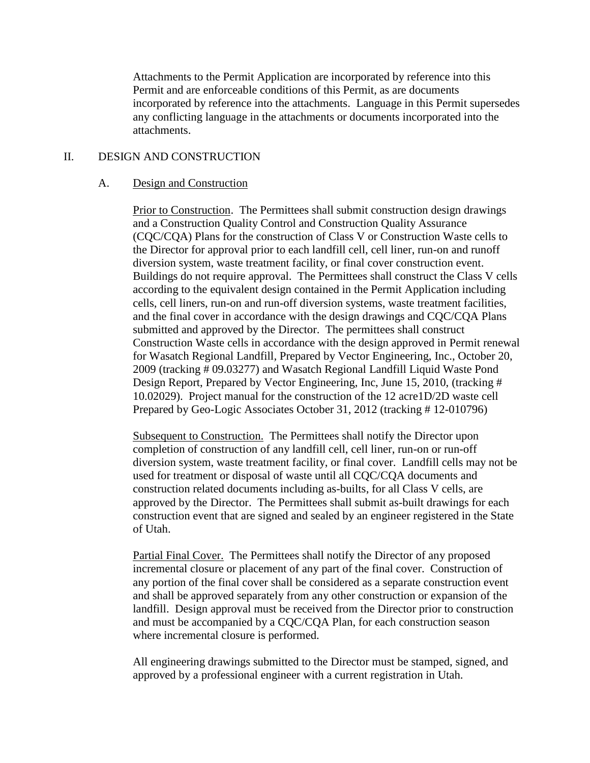Attachments to the Permit Application are incorporated by reference into this Permit and are enforceable conditions of this Permit, as are documents incorporated by reference into the attachments. Language in this Permit supersedes any conflicting language in the attachments or documents incorporated into the attachments.

#### II. DESIGN AND CONSTRUCTION

#### A. Design and Construction

Prior to Construction. The Permittees shall submit construction design drawings and a Construction Quality Control and Construction Quality Assurance (CQC/CQA) Plans for the construction of Class V or Construction Waste cells to the Director for approval prior to each landfill cell, cell liner, run-on and runoff diversion system, waste treatment facility, or final cover construction event. Buildings do not require approval. The Permittees shall construct the Class V cells according to the equivalent design contained in the Permit Application including cells, cell liners, run-on and run-off diversion systems, waste treatment facilities, and the final cover in accordance with the design drawings and CQC/CQA Plans submitted and approved by the Director. The permittees shall construct Construction Waste cells in accordance with the design approved in Permit renewal for Wasatch Regional Landfill*,* Prepared by Vector Engineering, Inc., October 20, 2009 (tracking # 09.03277) and Wasatch Regional Landfill Liquid Waste Pond Design Report, Prepared by Vector Engineering, Inc, June 15, 2010, (tracking # 10.02029). Project manual for the construction of the 12 acre1D/2D waste cell Prepared by Geo-Logic Associates October 31, 2012 (tracking # 12-010796)

Subsequent to Construction. The Permittees shall notify the Director upon completion of construction of any landfill cell, cell liner, run-on or run-off diversion system, waste treatment facility, or final cover. Landfill cells may not be used for treatment or disposal of waste until all CQC/CQA documents and construction related documents including as-builts, for all Class V cells, are approved by the Director. The Permittees shall submit as-built drawings for each construction event that are signed and sealed by an engineer registered in the State of Utah.

Partial Final Cover. The Permittees shall notify the Director of any proposed incremental closure or placement of any part of the final cover. Construction of any portion of the final cover shall be considered as a separate construction event and shall be approved separately from any other construction or expansion of the landfill. Design approval must be received from the Director prior to construction and must be accompanied by a CQC/CQA Plan, for each construction season where incremental closure is performed.

All engineering drawings submitted to the Director must be stamped, signed, and approved by a professional engineer with a current registration in Utah.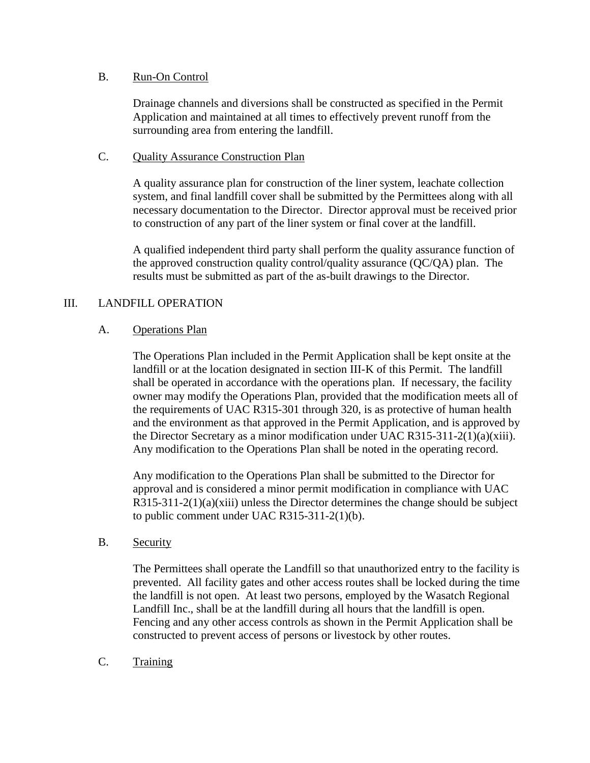#### B. Run-On Control

Drainage channels and diversions shall be constructed as specified in the Permit Application and maintained at all times to effectively prevent runoff from the surrounding area from entering the landfill.

#### C. Quality Assurance Construction Plan

A quality assurance plan for construction of the liner system, leachate collection system, and final landfill cover shall be submitted by the Permittees along with all necessary documentation to the Director. Director approval must be received prior to construction of any part of the liner system or final cover at the landfill.

A qualified independent third party shall perform the quality assurance function of the approved construction quality control/quality assurance (QC/QA) plan. The results must be submitted as part of the as-built drawings to the Director.

# III. LANDFILL OPERATION

#### A. Operations Plan

The Operations Plan included in the Permit Application shall be kept onsite at the landfill or at the location designated in section III-K of this Permit. The landfill shall be operated in accordance with the operations plan. If necessary, the facility owner may modify the Operations Plan, provided that the modification meets all of the requirements of UAC R315-301 through 320, is as protective of human health and the environment as that approved in the Permit Application, and is approved by the Director Secretary as a minor modification under UAC R315-311-2(1)(a)(xiii). Any modification to the Operations Plan shall be noted in the operating record.

Any modification to the Operations Plan shall be submitted to the Director for approval and is considered a minor permit modification in compliance with UAC  $R315-311-2(1)(a)(xiii)$  unless the Director determines the change should be subject to public comment under UAC R315-311-2(1)(b).

#### B. Security

The Permittees shall operate the Landfill so that unauthorized entry to the facility is prevented. All facility gates and other access routes shall be locked during the time the landfill is not open. At least two persons, employed by the Wasatch Regional Landfill Inc., shall be at the landfill during all hours that the landfill is open. Fencing and any other access controls as shown in the Permit Application shall be constructed to prevent access of persons or livestock by other routes.

C. Training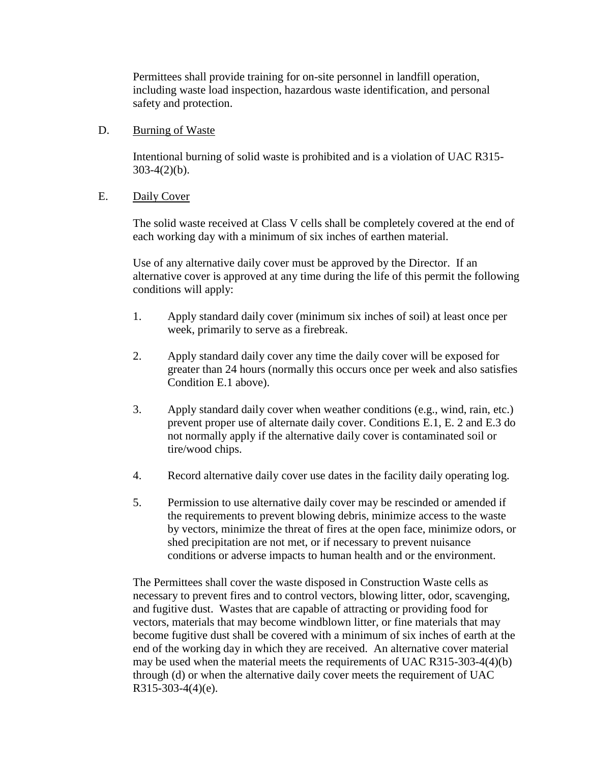Permittees shall provide training for on-site personnel in landfill operation, including waste load inspection, hazardous waste identification, and personal safety and protection.

#### D. Burning of Waste

Intentional burning of solid waste is prohibited and is a violation of UAC R315-  $303-4(2)(b)$ .

#### E. Daily Cover

The solid waste received at Class V cells shall be completely covered at the end of each working day with a minimum of six inches of earthen material.

Use of any alternative daily cover must be approved by the Director. If an alternative cover is approved at any time during the life of this permit the following conditions will apply:

- 1. Apply standard daily cover (minimum six inches of soil) at least once per week, primarily to serve as a firebreak.
- 2. Apply standard daily cover any time the daily cover will be exposed for greater than 24 hours (normally this occurs once per week and also satisfies Condition E.1 above).
- 3. Apply standard daily cover when weather conditions (e.g., wind, rain, etc.) prevent proper use of alternate daily cover. Conditions E.1, E. 2 and E.3 do not normally apply if the alternative daily cover is contaminated soil or tire/wood chips.
- 4. Record alternative daily cover use dates in the facility daily operating log.
- 5. Permission to use alternative daily cover may be rescinded or amended if the requirements to prevent blowing debris, minimize access to the waste by vectors, minimize the threat of fires at the open face, minimize odors, or shed precipitation are not met, or if necessary to prevent nuisance conditions or adverse impacts to human health and or the environment.

The Permittees shall cover the waste disposed in Construction Waste cells as necessary to prevent fires and to control vectors, blowing litter, odor, scavenging, and fugitive dust. Wastes that are capable of attracting or providing food for vectors, materials that may become windblown litter, or fine materials that may become fugitive dust shall be covered with a minimum of six inches of earth at the end of the working day in which they are received. An alternative cover material may be used when the material meets the requirements of UAC R315-303-4(4)(b) through (d) or when the alternative daily cover meets the requirement of UAC R315-303-4(4)(e).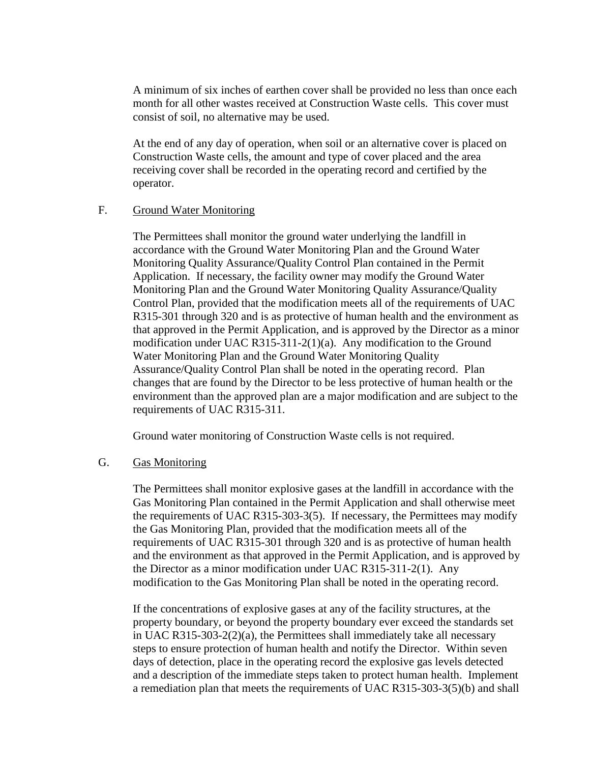A minimum of six inches of earthen cover shall be provided no less than once each month for all other wastes received at Construction Waste cells. This cover must consist of soil, no alternative may be used.

At the end of any day of operation, when soil or an alternative cover is placed on Construction Waste cells, the amount and type of cover placed and the area receiving cover shall be recorded in the operating record and certified by the operator.

#### F. Ground Water Monitoring

The Permittees shall monitor the ground water underlying the landfill in accordance with the Ground Water Monitoring Plan and the Ground Water Monitoring Quality Assurance/Quality Control Plan contained in the Permit Application. If necessary, the facility owner may modify the Ground Water Monitoring Plan and the Ground Water Monitoring Quality Assurance/Quality Control Plan, provided that the modification meets all of the requirements of UAC R315-301 through 320 and is as protective of human health and the environment as that approved in the Permit Application, and is approved by the Director as a minor modification under UAC R315-311-2(1)(a). Any modification to the Ground Water Monitoring Plan and the Ground Water Monitoring Quality Assurance/Quality Control Plan shall be noted in the operating record. Plan changes that are found by the Director to be less protective of human health or the environment than the approved plan are a major modification and are subject to the requirements of UAC R315-311.

Ground water monitoring of Construction Waste cells is not required.

#### G. Gas Monitoring

The Permittees shall monitor explosive gases at the landfill in accordance with the Gas Monitoring Plan contained in the Permit Application and shall otherwise meet the requirements of UAC R315-303-3(5). If necessary, the Permittees may modify the Gas Monitoring Plan, provided that the modification meets all of the requirements of UAC R315-301 through 320 and is as protective of human health and the environment as that approved in the Permit Application, and is approved by the Director as a minor modification under UAC R315-311-2(1). Any modification to the Gas Monitoring Plan shall be noted in the operating record.

If the concentrations of explosive gases at any of the facility structures, at the property boundary, or beyond the property boundary ever exceed the standards set in UAC R315-303-2(2)(a), the Permittees shall immediately take all necessary steps to ensure protection of human health and notify the Director. Within seven days of detection, place in the operating record the explosive gas levels detected and a description of the immediate steps taken to protect human health. Implement a remediation plan that meets the requirements of UAC R315-303-3(5)(b) and shall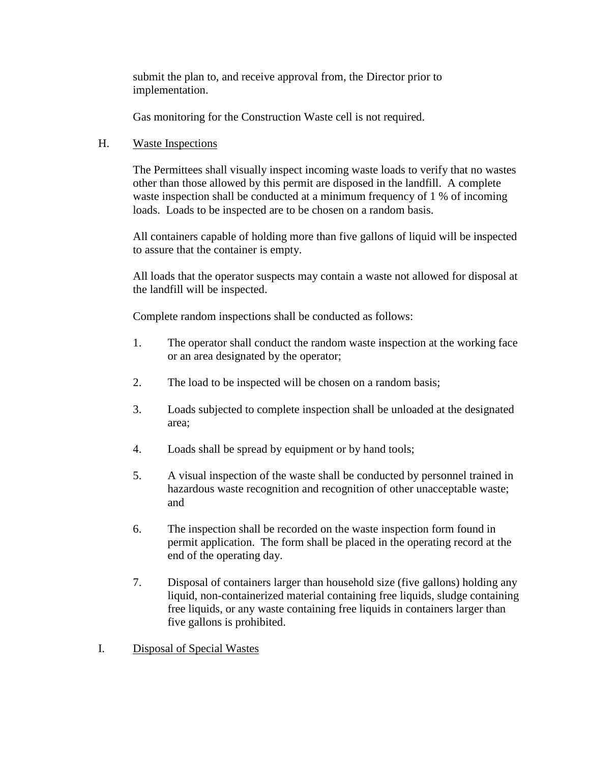submit the plan to, and receive approval from, the Director prior to implementation.

Gas monitoring for the Construction Waste cell is not required.

#### H. Waste Inspections

The Permittees shall visually inspect incoming waste loads to verify that no wastes other than those allowed by this permit are disposed in the landfill. A complete waste inspection shall be conducted at a minimum frequency of 1 % of incoming loads. Loads to be inspected are to be chosen on a random basis.

All containers capable of holding more than five gallons of liquid will be inspected to assure that the container is empty.

All loads that the operator suspects may contain a waste not allowed for disposal at the landfill will be inspected.

Complete random inspections shall be conducted as follows:

- 1. The operator shall conduct the random waste inspection at the working face or an area designated by the operator;
- 2. The load to be inspected will be chosen on a random basis;
- 3. Loads subjected to complete inspection shall be unloaded at the designated area;
- 4. Loads shall be spread by equipment or by hand tools;
- 5. A visual inspection of the waste shall be conducted by personnel trained in hazardous waste recognition and recognition of other unacceptable waste; and
- 6. The inspection shall be recorded on the waste inspection form found in permit application. The form shall be placed in the operating record at the end of the operating day.
- 7. Disposal of containers larger than household size (five gallons) holding any liquid, non-containerized material containing free liquids, sludge containing free liquids, or any waste containing free liquids in containers larger than five gallons is prohibited.
- I. Disposal of Special Wastes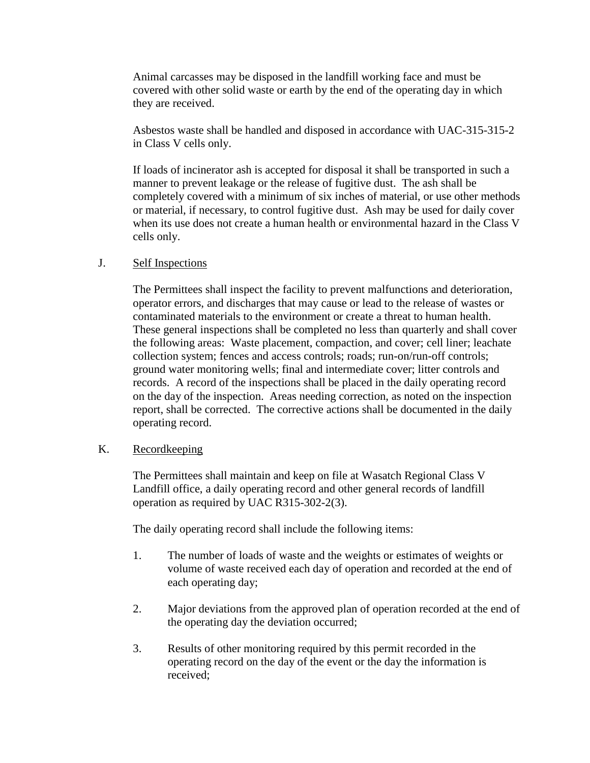Animal carcasses may be disposed in the landfill working face and must be covered with other solid waste or earth by the end of the operating day in which they are received.

Asbestos waste shall be handled and disposed in accordance with UAC-315-315-2 in Class V cells only.

If loads of incinerator ash is accepted for disposal it shall be transported in such a manner to prevent leakage or the release of fugitive dust. The ash shall be completely covered with a minimum of six inches of material, or use other methods or material, if necessary, to control fugitive dust. Ash may be used for daily cover when its use does not create a human health or environmental hazard in the Class V cells only.

#### J. Self Inspections

The Permittees shall inspect the facility to prevent malfunctions and deterioration, operator errors, and discharges that may cause or lead to the release of wastes or contaminated materials to the environment or create a threat to human health. These general inspections shall be completed no less than quarterly and shall cover the following areas: Waste placement, compaction, and cover; cell liner; leachate collection system; fences and access controls; roads; run-on/run-off controls; ground water monitoring wells; final and intermediate cover; litter controls and records. A record of the inspections shall be placed in the daily operating record on the day of the inspection. Areas needing correction, as noted on the inspection report, shall be corrected. The corrective actions shall be documented in the daily operating record.

#### K. Recordkeeping

The Permittees shall maintain and keep on file at Wasatch Regional Class V Landfill office, a daily operating record and other general records of landfill operation as required by UAC R315-302-2(3).

The daily operating record shall include the following items:

- 1. The number of loads of waste and the weights or estimates of weights or volume of waste received each day of operation and recorded at the end of each operating day;
- 2. Major deviations from the approved plan of operation recorded at the end of the operating day the deviation occurred;
- 3. Results of other monitoring required by this permit recorded in the operating record on the day of the event or the day the information is received;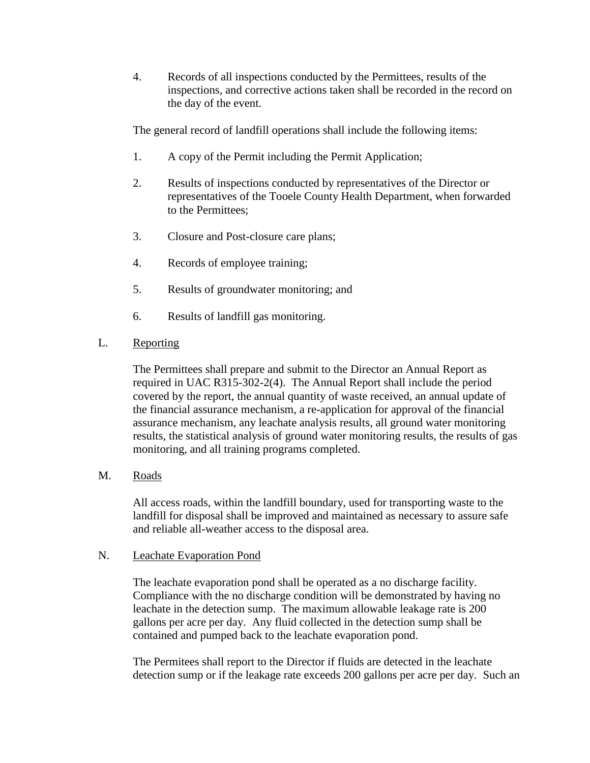4. Records of all inspections conducted by the Permittees, results of the inspections, and corrective actions taken shall be recorded in the record on the day of the event.

The general record of landfill operations shall include the following items:

- 1. A copy of the Permit including the Permit Application;
- 2. Results of inspections conducted by representatives of the Director or representatives of the Tooele County Health Department, when forwarded to the Permittees;
- 3. Closure and Post-closure care plans;
- 4. Records of employee training;
- 5. Results of groundwater monitoring; and
- 6. Results of landfill gas monitoring.
- L. Reporting

The Permittees shall prepare and submit to the Director an Annual Report as required in UAC R315-302-2(4). The Annual Report shall include the period covered by the report, the annual quantity of waste received, an annual update of the financial assurance mechanism, a re-application for approval of the financial assurance mechanism, any leachate analysis results, all ground water monitoring results, the statistical analysis of ground water monitoring results, the results of gas monitoring, and all training programs completed.

M. Roads

All access roads, within the landfill boundary, used for transporting waste to the landfill for disposal shall be improved and maintained as necessary to assure safe and reliable all-weather access to the disposal area.

# N. Leachate Evaporation Pond

The leachate evaporation pond shall be operated as a no discharge facility. Compliance with the no discharge condition will be demonstrated by having no leachate in the detection sump. The maximum allowable leakage rate is 200 gallons per acre per day. Any fluid collected in the detection sump shall be contained and pumped back to the leachate evaporation pond.

The Permitees shall report to the Director if fluids are detected in the leachate detection sump or if the leakage rate exceeds 200 gallons per acre per day. Such an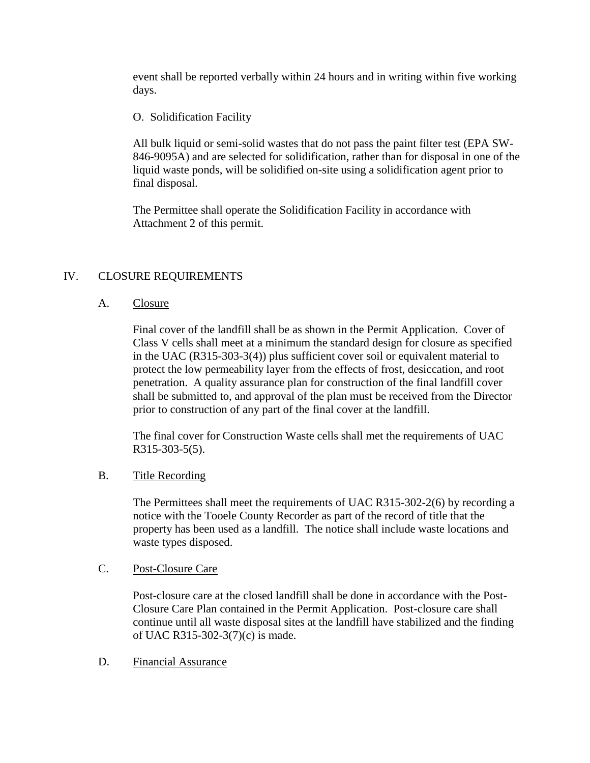event shall be reported verbally within 24 hours and in writing within five working days.

O. Solidification Facility

All bulk liquid or semi-solid wastes that do not pass the paint filter test (EPA SW-846-9095A) and are selected for solidification, rather than for disposal in one of the liquid waste ponds, will be solidified on-site using a solidification agent prior to final disposal.

The Permittee shall operate the Solidification Facility in accordance with Attachment 2 of this permit.

#### IV. CLOSURE REQUIREMENTS

#### A. Closure

Final cover of the landfill shall be as shown in the Permit Application. Cover of Class V cells shall meet at a minimum the standard design for closure as specified in the UAC (R315-303-3(4)) plus sufficient cover soil or equivalent material to protect the low permeability layer from the effects of frost, desiccation, and root penetration. A quality assurance plan for construction of the final landfill cover shall be submitted to, and approval of the plan must be received from the Director prior to construction of any part of the final cover at the landfill.

The final cover for Construction Waste cells shall met the requirements of UAC R315-303-5(5).

#### B. Title Recording

The Permittees shall meet the requirements of UAC R315-302-2(6) by recording a notice with the Tooele County Recorder as part of the record of title that the property has been used as a landfill. The notice shall include waste locations and waste types disposed.

#### C. Post-Closure Care

Post-closure care at the closed landfill shall be done in accordance with the Post-Closure Care Plan contained in the Permit Application. Post-closure care shall continue until all waste disposal sites at the landfill have stabilized and the finding of UAC R315-302-3(7)(c) is made.

#### D. Financial Assurance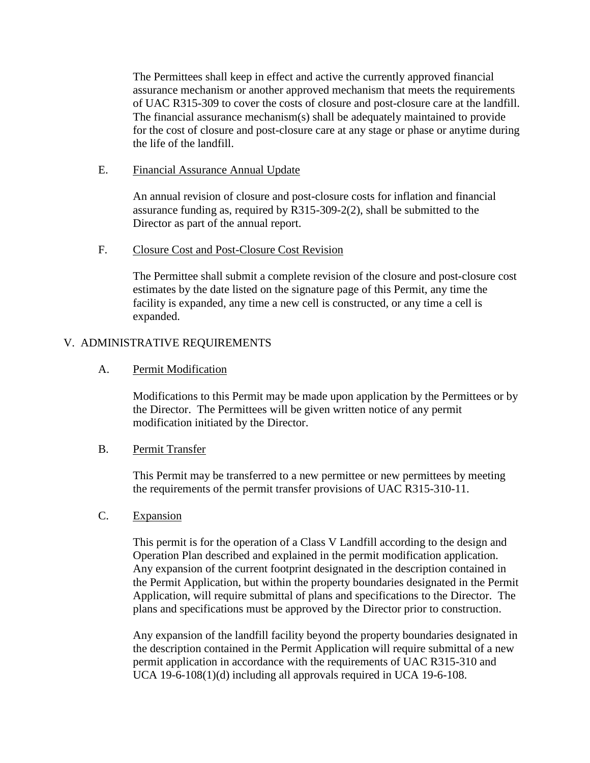The Permittees shall keep in effect and active the currently approved financial assurance mechanism or another approved mechanism that meets the requirements of UAC R315-309 to cover the costs of closure and post-closure care at the landfill. The financial assurance mechanism(s) shall be adequately maintained to provide for the cost of closure and post-closure care at any stage or phase or anytime during the life of the landfill.

#### E. Financial Assurance Annual Update

An annual revision of closure and post-closure costs for inflation and financial assurance funding as, required by R315-309-2(2), shall be submitted to the Director as part of the annual report.

#### F. Closure Cost and Post-Closure Cost Revision

The Permittee shall submit a complete revision of the closure and post-closure cost estimates by the date listed on the signature page of this Permit, any time the facility is expanded, any time a new cell is constructed, or any time a cell is expanded.

# V. ADMINISTRATIVE REQUIREMENTS

#### A. Permit Modification

Modifications to this Permit may be made upon application by the Permittees or by the Director. The Permittees will be given written notice of any permit modification initiated by the Director.

#### B. Permit Transfer

This Permit may be transferred to a new permittee or new permittees by meeting the requirements of the permit transfer provisions of UAC R315-310-11.

#### C. Expansion

This permit is for the operation of a Class V Landfill according to the design and Operation Plan described and explained in the permit modification application. Any expansion of the current footprint designated in the description contained in the Permit Application, but within the property boundaries designated in the Permit Application, will require submittal of plans and specifications to the Director. The plans and specifications must be approved by the Director prior to construction.

Any expansion of the landfill facility beyond the property boundaries designated in the description contained in the Permit Application will require submittal of a new permit application in accordance with the requirements of UAC R315-310 and UCA 19-6-108(1)(d) including all approvals required in UCA 19-6-108.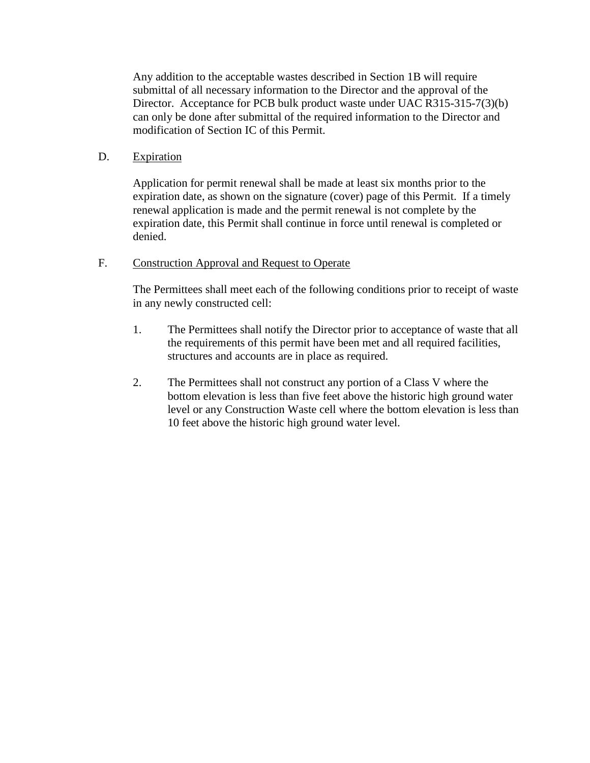Any addition to the acceptable wastes described in Section 1B will require submittal of all necessary information to the Director and the approval of the Director. Acceptance for PCB bulk product waste under UAC R315-315-7(3)(b) can only be done after submittal of the required information to the Director and modification of Section IC of this Permit.

### D. Expiration

Application for permit renewal shall be made at least six months prior to the expiration date, as shown on the signature (cover) page of this Permit. If a timely renewal application is made and the permit renewal is not complete by the expiration date, this Permit shall continue in force until renewal is completed or denied.

#### F. Construction Approval and Request to Operate

The Permittees shall meet each of the following conditions prior to receipt of waste in any newly constructed cell:

- 1. The Permittees shall notify the Director prior to acceptance of waste that all the requirements of this permit have been met and all required facilities, structures and accounts are in place as required.
- 2. The Permittees shall not construct any portion of a Class V where the bottom elevation is less than five feet above the historic high ground water level or any Construction Waste cell where the bottom elevation is less than 10 feet above the historic high ground water level.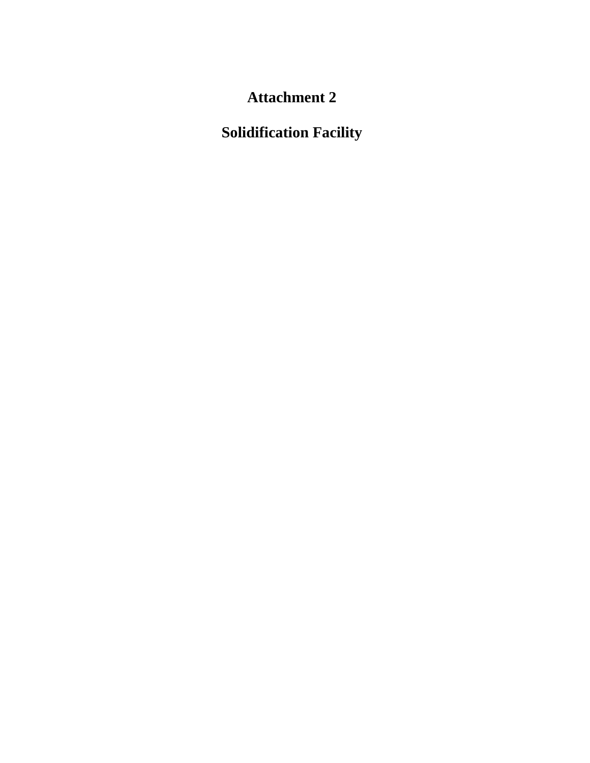# **Attachment 2**

# **Solidification Facility**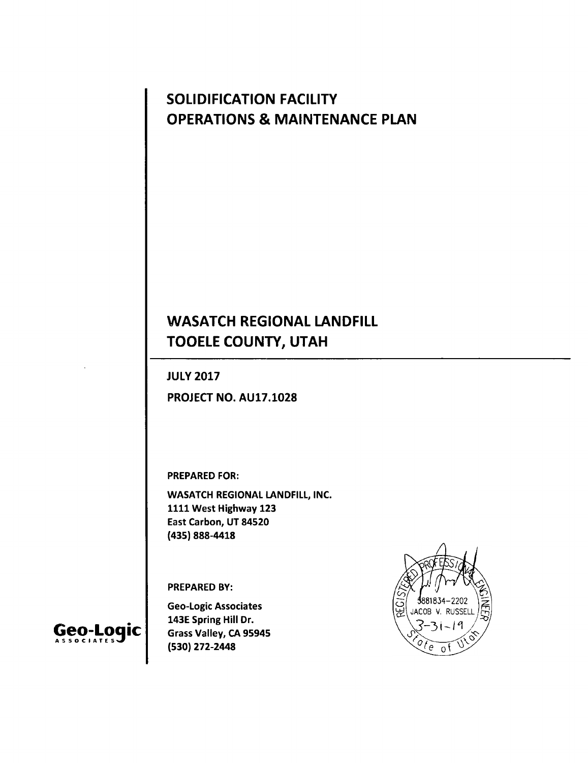# **SOLIDIFICATION FACILITY OPERATIONS & MAINTENANCE PLAN**

# **WASATCH REGIONAL LANDFILL TOOELE COUNTY, UTAH**

**JULY 2017**

**PROJECT NO. AU17.1028**

**PREPARED FOR:**

**WASATCH REGIONAL LANDFILL, INC. 1111 West Highway 123 East Carbon, UT 84520 (435) 888-4418**

**PREPARED BY:**

**Geo-Logic Associates 143E Spring Hill Dr. Grass Valley, CA 95945 (530) 272-2448**



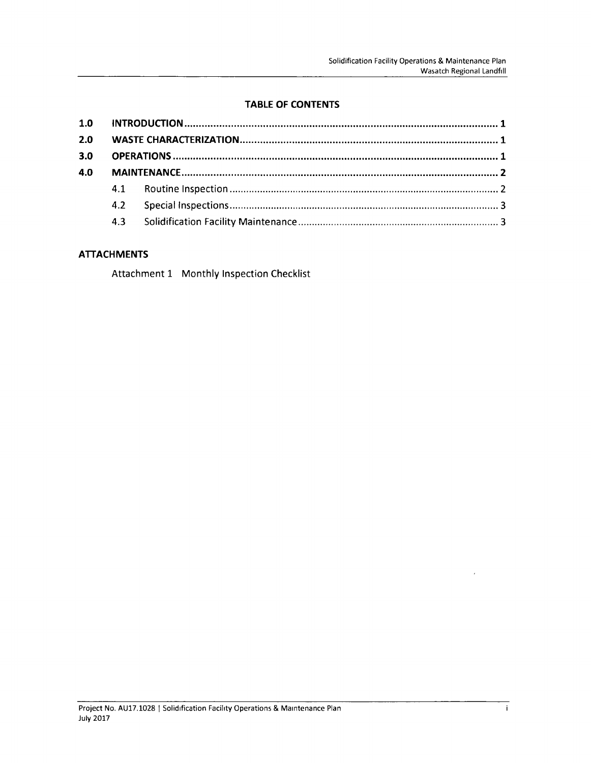# **TABLE OF CONTENTS**

| 2.0 |  |  |  |  |  |
|-----|--|--|--|--|--|
| 3.0 |  |  |  |  |  |
| 4.0 |  |  |  |  |  |
|     |  |  |  |  |  |
|     |  |  |  |  |  |
|     |  |  |  |  |  |
|     |  |  |  |  |  |

#### **ATTACHMENTS**

Attachment 1 Monthly Inspection Checklist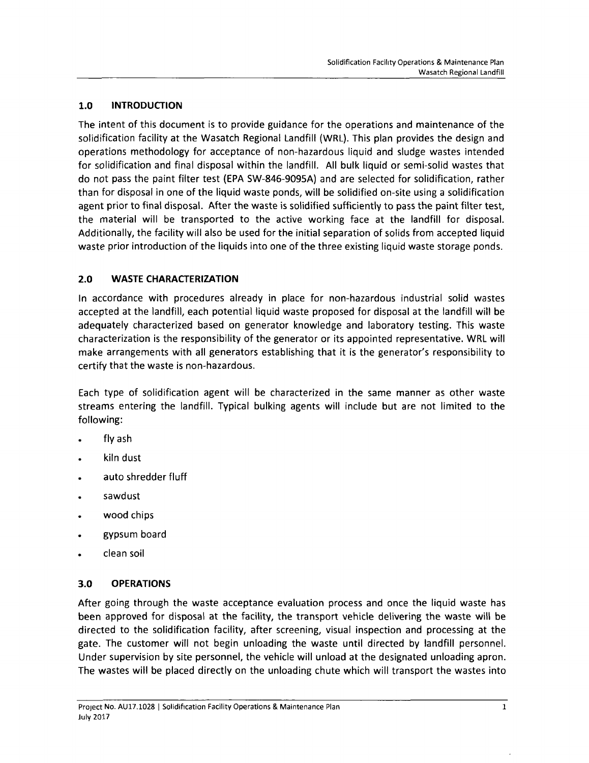#### **1.0 INTRODUCTION**

The intent of this document is to provide guidance for the operations and maintenance of the solidification facility at the Wasatch Regional Landfill (WRL). This plan provides the design and operations methodology for acceptance of non-hazardous liquid and sludge wastes intended for solidification and final disposal within the landfill. All bulk liquid or semi-solid wastes that do not pass the paint filter test (ERA SW-846-9095A) and are selected for solidification, rather than for disposal in one of the liquid waste ponds, will be solidified on-site using <sup>a</sup> solidification agent prior to final disposal. After the waste is solidified sufficiently to pass the paint filter test, the material will be transported to the active working face at the landfill for disposal. Additionally, the facility will also be used for the initial separation of solids from accepted liquid waste prior introduction of the liquids into one of the three existing liquid waste storage ponds.

#### **2.0 WASTE CHARACTERIZATION**

In accordance with procedures already in place for non-hazardous industrial solid wastes accepted at the landfill, each potential liquid waste proposed for disposal at the landfill will be adequately characterized based on generator knowledge and laboratory testing. This waste characterization is the responsibility of the generator or its appointed representative. WRL will make arrangements with all generators establishing that it is the generator's responsibility to certify that the waste is non-hazardous.

Each type of solidification agent will be characterized in the same manner as other waste streams entering the landfill. Typical bulking agents will include but are not limited to the following:

- . fly ash
- . kiln dust
- . auto shredder fluff
- . sawdust
- . wood chips
- . gypsum board
- . clean soil

# **3.0 OPERATIONS**

After going through the waste acceptance evaluation process and once the liquid waste has been approved for disposal at the facility, the transport vehicle delivering the waste will be directed to the solidification facility, after screening, visual inspection and processing at the gate. The customer will not begin unloading the waste until directed by landfill personnel. Under supervision by site personnel, the vehicle will unload at the designated unloading apron. The wastes will be placed directly on the unloading chute which will transport the wastes into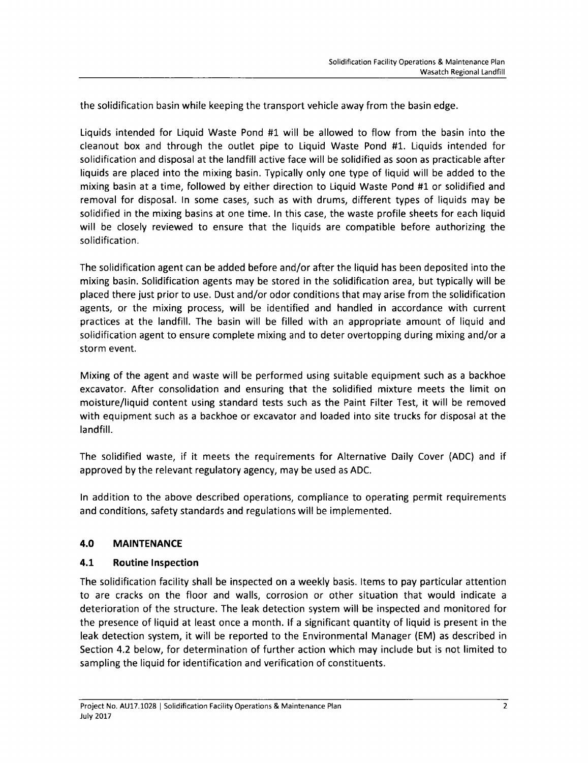the solidification basin while keeping the transport vehicle away from the basin edge.

Liquids intended for Liquid Waste Pond #1 will be allowed to flow from the basin into the cleanout box and through the outlet pipe to Liquid Waste Pond #1. Liquids intended for solidification and disposal at the landfill active face will be solidified as soon as practicable after liquids are placed into the mixing basin. Typically only one type of liquid will be added to the mixing basin at <sup>a</sup> time, followed by either direction to Liquid Waste Pond #1 or solidified and removal for disposal. In some cases, such as with drums, different types of liquids may be solidified in the mixing basins at one time. In this case, the waste profile sheets for each liquid will be closely reviewed to ensure that the liquids are compatible before authorizing the solidification.

The solidification agent can be added before and/or after the liquid has been deposited into the mixing basin. Solidification agents may be stored in the solidification area, but typically will be placed there just prior to use. Dust and/or odor conditions that may arise from the solidification agents, or the mixing process, will be identified and handled in accordance with current practices at the landfill. The basin will be filled with an appropriate amount of liquid and solidification agent to ensure complete mixing and to deter overtopping during mixing and/or <sup>a</sup> storm event.

Mixing of the agent and waste will be performed using suitable equipment such as <sup>a</sup> backhoe excavator. After consolidation and ensuring that the solidified mixture meets the limit on moisture/liquid content using standard tests such as the Paint Filter Test, it will be removed with equipment such as <sup>a</sup> backhoe or excavator and loaded into site trucks for disposal at the landfill.

The solidified waste, if it meets the requirements for Alternative Daily Cover (ADC) and if approved by the relevant regulatory agency, may be used as ADC.

In addition to the above described operations, compliance to operating permit requirements and conditions, safety standards and regulations will be implemented.

#### **4.0 MAINTENANCE**

#### **4.1 Routine Inspection**

The solidification facility shall be inspected on <sup>a</sup> weekly basis. Items to pay particular attention to are cracks on the floor and walls, corrosion or other situation that would indicate <sup>a</sup> deterioration of the structure. The leak detection system will be inspected and monitored for the presence of liquid at least once <sup>a</sup> month. If <sup>a</sup> significant quantity of liquid is present in the leak detection system, it will be reported to the Environmental Manager (EM) as described in Section 4.2 below, for determination of further action which may include but is not limited to sampling the liquid for identification and verification of constituents.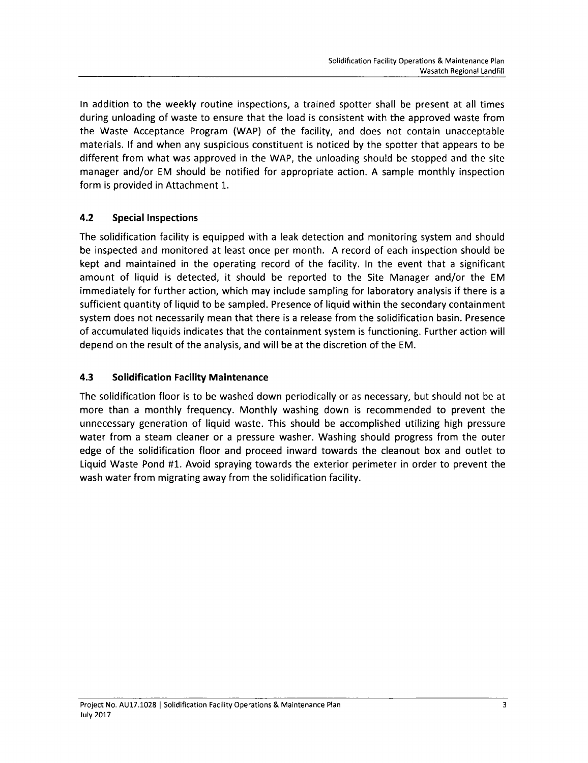In addition to the weekly routine inspections, <sup>a</sup> trained spotter shall be present at all times during unloading of waste to ensure that the load is consistent with the approved waste from the Waste Acceptance Program (WAP) of the facility, and does not contain unacceptable materials. If and when any suspicious constituent is noticed by the spotter that appears to be different from what was approved in the WAP, the unloading should be stopped and the site manager and/or EM should be notified for appropriate action. A sample monthly inspection form is provided in Attachment 1.

# **4.2 Special Inspections**

The solidification facility is equipped with a leak detection and monitoring system and should be inspected and monitored at least once per month. A record of each inspection should be kept and maintained in the operating record of the facility. In the event that <sup>a</sup> significant amount of liquid is detected, it should be reported to the Site Manager and/or the EM immediately for further action, which may include sampling for laboratory analysis if there is <sup>a</sup> sufficient quantity of liquid to be sampled. Presence of liquid within the secondary containment system does not necessarily mean that there is <sup>a</sup> release from the solidification basin. Presence of accumulated liquids indicates that the containment system is functioning. Further action will depend on the result of the analysis, and will be at the discretion of the EM.

#### **4.3 Solidification Facility Maintenance**

The solidification floor is to be washed down periodically or as necessary, but should not be at more than a monthly frequency. Monthly washing down is recommended to prevent the unnecessary generation of liquid waste. This should be accomplished utilizing high pressure water from a steam cleaner or <sup>a</sup> pressure washer. Washing should progress from the outer edge of the solidification floor and proceed inward towards the cleanout box and outlet to Liquid Waste Pond #1. Avoid spraying towards the exterior perimeter in order to prevent the wash water from migrating away from the solidification facility.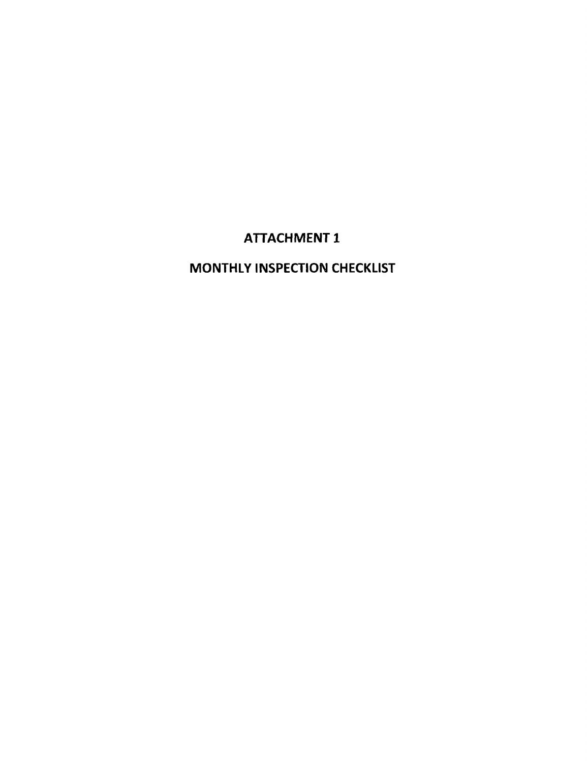# **ATTACHMENT 1**

# **MONTHLY INSPECTION CHECKLIST**